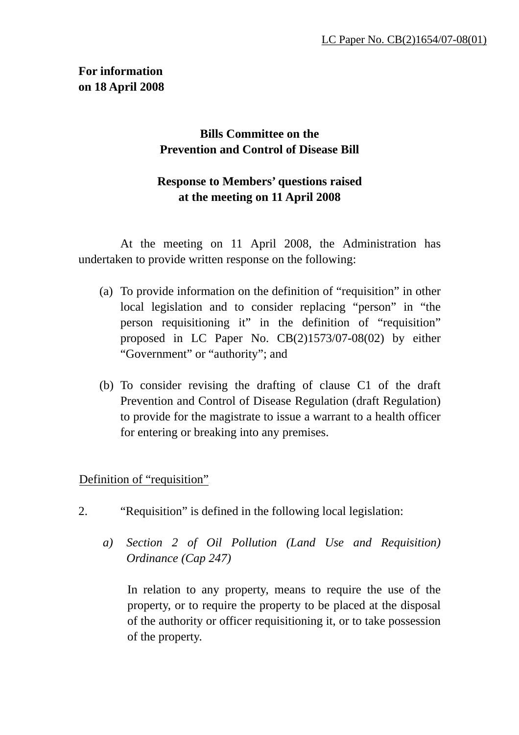## **For information on 18 April 2008**

## **Bills Committee on the Prevention and Control of Disease Bill**

## **Response to Members' questions raised at the meeting on 11 April 2008**

 At the meeting on 11 April 2008, the Administration has undertaken to provide written response on the following:

- (a) To provide information on the definition of "requisition" in other local legislation and to consider replacing "person" in "the person requisitioning it" in the definition of "requisition" proposed in LC Paper No. CB(2)1573/07-08(02) by either "Government" or "authority"; and
- (b) To consider revising the drafting of clause C1 of the draft Prevention and Control of Disease Regulation (draft Regulation) to provide for the magistrate to issue a warrant to a health officer for entering or breaking into any premises.

## Definition of "requisition"

- 2. "Requisition" is defined in the following local legislation:
	- *a) Section 2 of Oil Pollution (Land Use and Requisition) Ordinance (Cap 247)*

In relation to any property, means to require the use of the property, or to require the property to be placed at the disposal of the authority or officer requisitioning it, or to take possession of the property.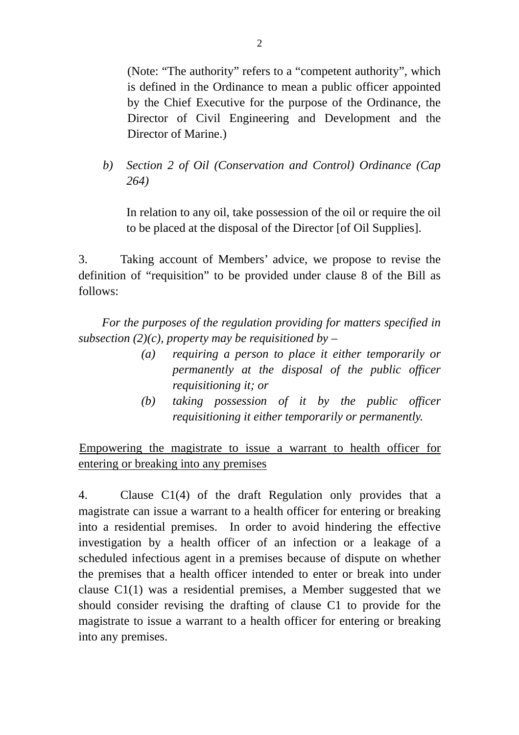(Note: "The authority" refers to a "competent authority", which is defined in the Ordinance to mean a public officer appointed by the Chief Executive for the purpose of the Ordinance, the Director of Civil Engineering and Development and the Director of Marine.)

*b) Section 2 of Oil (Conservation and Control) Ordinance (Cap 264)* 

In relation to any oil, take possession of the oil or require the oil to be placed at the disposal of the Director [of Oil Supplies].

3. Taking account of Members' advice, we propose to revise the definition of "requisition" to be provided under clause 8 of the Bill as follows:

*For the purposes of the regulation providing for matters specified in subsection (2)(c), property may be requisitioned by –* 

- *(a) requiring a person to place it either temporarily or permanently at the disposal of the public officer requisitioning it; or*
- *(b) taking possession of it by the public officer requisitioning it either temporarily or permanently.*

UEmpowering the magistrate to issue a warrant to health officer for entering or breaking into any premises

4. Clause C1(4) of the draft Regulation only provides that a magistrate can issue a warrant to a health officer for entering or breaking into a residential premises. In order to avoid hindering the effective investigation by a health officer of an infection or a leakage of a scheduled infectious agent in a premises because of dispute on whether the premises that a health officer intended to enter or break into under clause C1(1) was a residential premises, a Member suggested that we should consider revising the drafting of clause C1 to provide for the magistrate to issue a warrant to a health officer for entering or breaking into any premises.